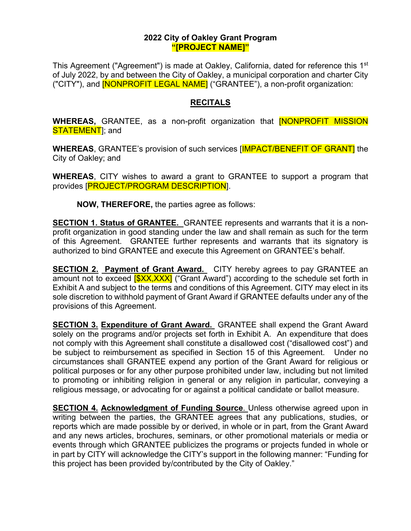### **2022 City of Oakley Grant Program "[PROJECT NAME]"**

This Agreement ("Agreement") is made at Oakley, California, dated for reference this 1<sup>st</sup> of July 2022, by and between the City of Oakley, a municipal corporation and charter City ("CITY"), and **[NONPROFIT LEGAL NAME]** ("GRANTEE"), a non-profit organization:

### **RECITALS**

**WHEREAS,** GRANTEE, as a non-profit organization that [NONPROFIT MISSION **STATEMENT**]; and

**WHEREAS**, GRANTEE's provision of such services [IMPACT/BENEFIT OF GRANT] the City of Oakley; and

**WHEREAS**, CITY wishes to award a grant to GRANTEE to support a program that provides [PROJECT/PROGRAM DESCRIPTION].

**NOW, THEREFORE,** the parties agree as follows:

**SECTION 1. Status of GRANTEE.** GRANTEE represents and warrants that it is a nonprofit organization in good standing under the law and shall remain as such for the term of this Agreement. GRANTEE further represents and warrants that its signatory is authorized to bind GRANTEE and execute this Agreement on GRANTEE's behalf.

**SECTION 2. Payment of Grant Award.** CITY hereby agrees to pay GRANTEE an amount not to exceed **[\$XX,XXX]** ("Grant Award") according to the schedule set forth in Exhibit A and subject to the terms and conditions of this Agreement. CITY may elect in its sole discretion to withhold payment of Grant Award if GRANTEE defaults under any of the provisions of this Agreement.

**SECTION 3. Expenditure of Grant Award.** GRANTEE shall expend the Grant Award solely on the programs and/or projects set forth in Exhibit A. An expenditure that does not comply with this Agreement shall constitute a disallowed cost ("disallowed cost") and be subject to reimbursement as specified in Section 15 of this Agreement. Under no circumstances shall GRANTEE expend any portion of the Grant Award for religious or political purposes or for any other purpose prohibited under law, including but not limited to promoting or inhibiting religion in general or any religion in particular, conveying a religious message, or advocating for or against a political candidate or ballot measure.

**SECTION 4. Acknowledgment of Funding Source**. Unless otherwise agreed upon in writing between the parties, the GRANTEE agrees that any publications, studies, or reports which are made possible by or derived, in whole or in part, from the Grant Award and any news articles, brochures, seminars, or other promotional materials or media or events through which GRANTEE publicizes the programs or projects funded in whole or in part by CITY will acknowledge the CITY's support in the following manner: "Funding for this project has been provided by/contributed by the City of Oakley."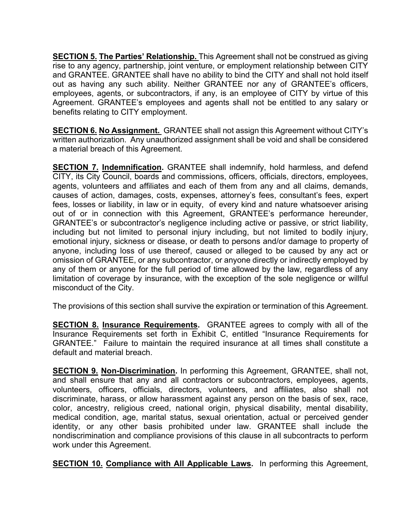**SECTION 5. The Parties' Relationship.** This Agreement shall not be construed as giving rise to any agency, partnership, joint venture, or employment relationship between CITY and GRANTEE. GRANTEE shall have no ability to bind the CITY and shall not hold itself out as having any such ability. Neither GRANTEE nor any of GRANTEE's officers, employees, agents, or subcontractors, if any, is an employee of CITY by virtue of this Agreement. GRANTEE's employees and agents shall not be entitled to any salary or benefits relating to CITY employment.

**SECTION 6. No Assignment.** GRANTEE shall not assign this Agreement without CITY's written authorization. Any unauthorized assignment shall be void and shall be considered a material breach of this Agreement.

**SECTION 7. Indemnification.** GRANTEE shall indemnify, hold harmless, and defend CITY, its City Council, boards and commissions, officers, officials, directors, employees, agents, volunteers and affiliates and each of them from any and all claims, demands, causes of action, damages, costs, expenses, attorney's fees, consultant's fees, expert fees, losses or liability, in law or in equity, of every kind and nature whatsoever arising out of or in connection with this Agreement, GRANTEE's performance hereunder, GRANTEE's or subcontractor's negligence including active or passive, or strict liability, including but not limited to personal injury including, but not limited to bodily injury, emotional injury, sickness or disease, or death to persons and/or damage to property of anyone, including loss of use thereof, caused or alleged to be caused by any act or omission of GRANTEE, or any subcontractor, or anyone directly or indirectly employed by any of them or anyone for the full period of time allowed by the law, regardless of any limitation of coverage by insurance, with the exception of the sole negligence or willful misconduct of the City.

The provisions of this section shall survive the expiration or termination of this Agreement.

**SECTION 8. Insurance Requirements.** GRANTEE agrees to comply with all of the Insurance Requirements set forth in Exhibit C, entitled "Insurance Requirements for GRANTEE." Failure to maintain the required insurance at all times shall constitute a default and material breach.

**SECTION 9. Non-Discrimination.** In performing this Agreement, GRANTEE, shall not, and shall ensure that any and all contractors or subcontractors, employees, agents, volunteers, officers, officials, directors, volunteers, and affiliates, also shall not discriminate, harass, or allow harassment against any person on the basis of sex, race, color, ancestry, religious creed, national origin, physical disability, mental disability, medical condition, age, marital status, sexual orientation, actual or perceived gender identity, or any other basis prohibited under law. GRANTEE shall include the nondiscrimination and compliance provisions of this clause in all subcontracts to perform work under this Agreement.

**SECTION 10. Compliance with All Applicable Laws.** In performing this Agreement,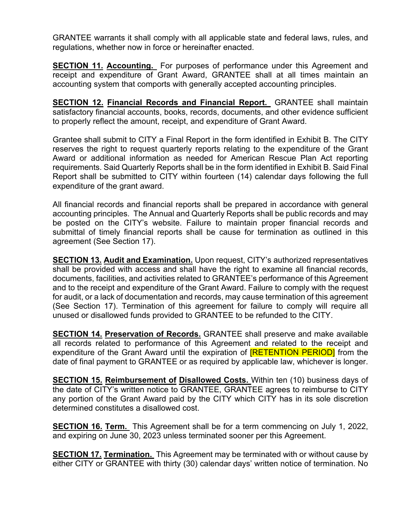GRANTEE warrants it shall comply with all applicable state and federal laws, rules, and regulations, whether now in force or hereinafter enacted.

**SECTION 11. Accounting.** For purposes of performance under this Agreement and receipt and expenditure of Grant Award, GRANTEE shall at all times maintain an accounting system that comports with generally accepted accounting principles.

**SECTION 12. Financial Records and Financial Report.** GRANTEE shall maintain satisfactory financial accounts, books, records, documents, and other evidence sufficient to properly reflect the amount, receipt, and expenditure of Grant Award.

Grantee shall submit to CITY a Final Report in the form identified in Exhibit B. The CITY reserves the right to request quarterly reports relating to the expenditure of the Grant Award or additional information as needed for American Rescue Plan Act reporting requirements. Said Quarterly Reports shall be in the form identified in Exhibit B. Said Final Report shall be submitted to CITY within fourteen (14) calendar days following the full expenditure of the grant award.

All financial records and financial reports shall be prepared in accordance with general accounting principles. The Annual and Quarterly Reports shall be public records and may be posted on the CITY's website. Failure to maintain proper financial records and submittal of timely financial reports shall be cause for termination as outlined in this agreement (See Section 17).

**SECTION 13. Audit and Examination.** Upon request, CITY's authorized representatives shall be provided with access and shall have the right to examine all financial records, documents, facilities, and activities related to GRANTEE's performance of this Agreement and to the receipt and expenditure of the Grant Award. Failure to comply with the request for audit, or a lack of documentation and records, may cause termination of this agreement (See Section 17). Termination of this agreement for failure to comply will require all unused or disallowed funds provided to GRANTEE to be refunded to the CITY.

**SECTION 14. Preservation of Records.** GRANTEE shall preserve and make available all records related to performance of this Agreement and related to the receipt and expenditure of the Grant Award until the expiration of **RETENTION PERIOD** from the date of final payment to GRANTEE or as required by applicable law, whichever is longer.

**SECTION 15. Reimbursement of Disallowed Costs.** Within ten (10) business days of the date of CITY's written notice to GRANTEE, GRANTEE agrees to reimburse to CITY any portion of the Grant Award paid by the CITY which CITY has in its sole discretion determined constitutes a disallowed cost.

**SECTION 16. Term.** This Agreement shall be for a term commencing on July 1, 2022, and expiring on June 30, 2023 unless terminated sooner per this Agreement.

**SECTION 17. Termination.** This Agreement may be terminated with or without cause by either CITY or GRANTEE with thirty (30) calendar days' written notice of termination. No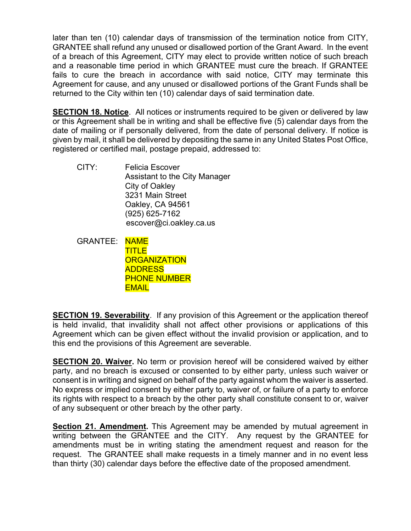later than ten (10) calendar days of transmission of the termination notice from CITY, GRANTEE shall refund any unused or disallowed portion of the Grant Award. In the event of a breach of this Agreement, CITY may elect to provide written notice of such breach and a reasonable time period in which GRANTEE must cure the breach. If GRANTEE fails to cure the breach in accordance with said notice, CITY may terminate this Agreement for cause, and any unused or disallowed portions of the Grant Funds shall be returned to the City within ten (10) calendar days of said termination date.

**SECTION 18. Notice**. All notices or instruments required to be given or delivered by law or this Agreement shall be in writing and shall be effective five (5) calendar days from the date of mailing or if personally delivered, from the date of personal delivery. If notice is given by mail, it shall be delivered by depositing the same in any United States Post Office, registered or certified mail, postage prepaid, addressed to:

CITY: Felicia Escover Assistant to the City Manager City of Oakley 3231 Main Street Oakley, CA 94561 (925) 625-7162 escover@ci.oakley.ca.us

GRANTEE: NAME TITLE **ORGANIZATION** ADDRESS PHONE NUMBER EMAIL

**SECTION 19. Severability**. If any provision of this Agreement or the application thereof is held invalid, that invalidity shall not affect other provisions or applications of this Agreement which can be given effect without the invalid provision or application, and to this end the provisions of this Agreement are severable.

**SECTION 20. Waiver.** No term or provision hereof will be considered waived by either party, and no breach is excused or consented to by either party, unless such waiver or consent is in writing and signed on behalf of the party against whom the waiver is asserted. No express or implied consent by either party to, waiver of, or failure of a party to enforce its rights with respect to a breach by the other party shall constitute consent to or, waiver of any subsequent or other breach by the other party.

**Section 21. Amendment.** This Agreement may be amended by mutual agreement in writing between the GRANTEE and the CITY. Any request by the GRANTEE for amendments must be in writing stating the amendment request and reason for the request. The GRANTEE shall make requests in a timely manner and in no event less than thirty (30) calendar days before the effective date of the proposed amendment.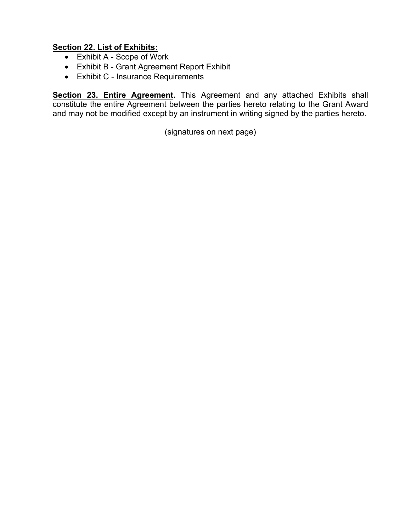# **Section 22. List of Exhibits:**

- Exhibit A Scope of Work
- Exhibit B Grant Agreement Report Exhibit
- Exhibit C Insurance Requirements

**Section 23. Entire Agreement.** This Agreement and any attached Exhibits shall constitute the entire Agreement between the parties hereto relating to the Grant Award and may not be modified except by an instrument in writing signed by the parties hereto.

(signatures on next page)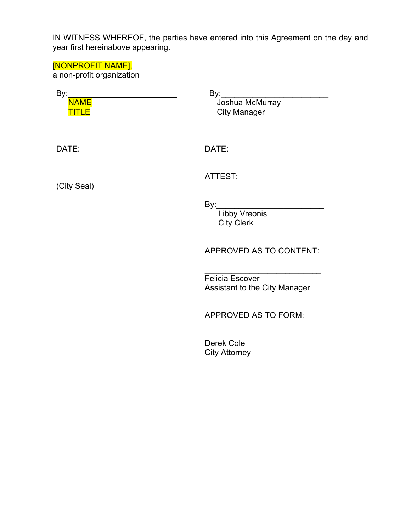IN WITNESS WHEREOF, the parties have entered into this Agreement on the day and year first hereinabove appearing.

# [NONPROFIT NAME],

a non-profit organization

| <b>NAME</b><br><b>TITLE</b>                                                                                                                                                                                                    | Joshua McMurray<br><b>City Manager</b>                    |
|--------------------------------------------------------------------------------------------------------------------------------------------------------------------------------------------------------------------------------|-----------------------------------------------------------|
| DATE: the contract of the contract of the contract of the contract of the contract of the contract of the contract of the contract of the contract of the contract of the contract of the contract of the contract of the cont | DATE: ____________                                        |
| (City Seal)                                                                                                                                                                                                                    | ATTEST:                                                   |
|                                                                                                                                                                                                                                | By: $\qquad \qquad$<br>Libby Vreonis<br><b>City Clerk</b> |
|                                                                                                                                                                                                                                | APPROVED AS TO CONTENT:                                   |
|                                                                                                                                                                                                                                | <b>Felicia Escover</b><br>Assistant to the City Manager   |
|                                                                                                                                                                                                                                | APPROVED AS TO FORM:                                      |
|                                                                                                                                                                                                                                | Derek Cole<br><b>City Attorney</b>                        |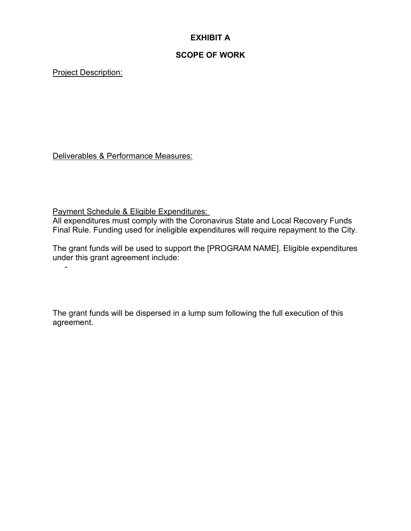# **EXHIBIT A**

### **SCOPE OF WORK**

Project Description:

-

Deliverables & Performance Measures:

Payment Schedule & Eligible Expenditures:

All expenditures must comply with the Coronavirus State and Local Recovery Funds Final Rule. Funding used for ineligible expenditures will require repayment to the City.

The grant funds will be used to support the [PROGRAM NAME]. Eligible expenditures under this grant agreement include:

The grant funds will be dispersed in a lump sum following the full execution of this agreement.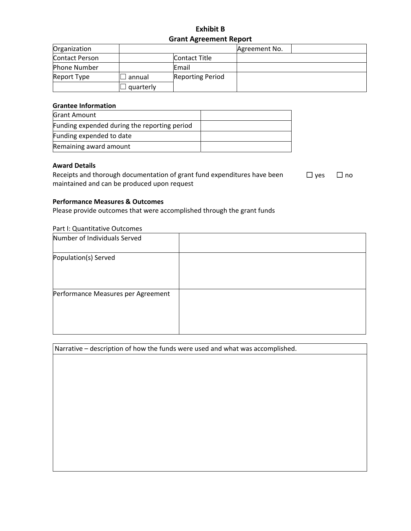### **Exhibit B Grant Agreement Report**

| Organization       |           |                         | Agreement No. |  |
|--------------------|-----------|-------------------------|---------------|--|
| Contact Person     |           | Contact Title           |               |  |
| Phone Number       |           | Email                   |               |  |
| <b>Report Type</b> | annual    | <b>Reporting Period</b> |               |  |
|                    | quarterly |                         |               |  |

### **Grantee Information**

| <b>Grant Amount</b>                          |  |
|----------------------------------------------|--|
| Funding expended during the reporting period |  |
| Funding expended to date                     |  |
| Remaining award amount                       |  |

#### **Award Details**

Receipts and thorough documentation of grant fund expenditures have been maintained and can be produced upon request ☐ yes ☐ no

#### **Performance Measures & Outcomes**

Please provide outcomes that were accomplished through the grant funds

| Part I: Quantitative Outcomes      |  |
|------------------------------------|--|
| Number of Individuals Served       |  |
| Population(s) Served               |  |
| Performance Measures per Agreement |  |

| Narrative – description of how the funds were used and what was accomplished. |  |  |  |  |  |
|-------------------------------------------------------------------------------|--|--|--|--|--|
|                                                                               |  |  |  |  |  |
|                                                                               |  |  |  |  |  |
|                                                                               |  |  |  |  |  |
|                                                                               |  |  |  |  |  |
|                                                                               |  |  |  |  |  |
|                                                                               |  |  |  |  |  |
|                                                                               |  |  |  |  |  |
|                                                                               |  |  |  |  |  |
|                                                                               |  |  |  |  |  |
|                                                                               |  |  |  |  |  |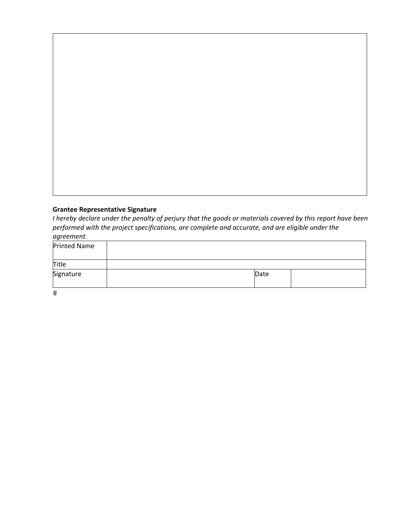#### **Grantee Representative Signature**

I hereby declare under the penalty of perjury that the goods or materials covered by this report have been *performed with the project specifications, are complete and accurate, and are eligible under the agreement.*

| Printed Name |      |  |
|--------------|------|--|
| Title        |      |  |
| Signature    | Date |  |

 $#$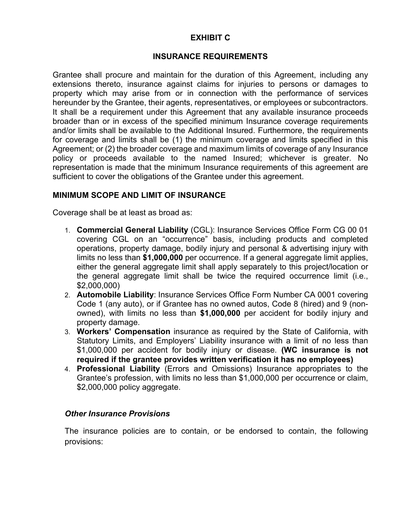### **EXHIBIT C**

### **INSURANCE REQUIREMENTS**

Grantee shall procure and maintain for the duration of this Agreement, including any extensions thereto, insurance against claims for injuries to persons or damages to property which may arise from or in connection with the performance of services hereunder by the Grantee, their agents, representatives, or employees or subcontractors. It shall be a requirement under this Agreement that any available insurance proceeds broader than or in excess of the specified minimum Insurance coverage requirements and/or limits shall be available to the Additional Insured. Furthermore, the requirements for coverage and limits shall be (1) the minimum coverage and limits specified in this Agreement; or (2) the broader coverage and maximum limits of coverage of any Insurance policy or proceeds available to the named Insured; whichever is greater. No representation is made that the minimum Insurance requirements of this agreement are sufficient to cover the obligations of the Grantee under this agreement.

### **MINIMUM SCOPE AND LIMIT OF INSURANCE**

Coverage shall be at least as broad as:

- 1. **Commercial General Liability** (CGL): Insurance Services Office Form CG 00 01 covering CGL on an "occurrence" basis, including products and completed operations, property damage, bodily injury and personal & advertising injury with limits no less than **\$1,000,000** per occurrence. If a general aggregate limit applies, either the general aggregate limit shall apply separately to this project/location or the general aggregate limit shall be twice the required occurrence limit (i.e., \$2,000,000)
- 2. **Automobile Liability**: Insurance Services Office Form Number CA 0001 covering Code 1 (any auto), or if Grantee has no owned autos, Code 8 (hired) and 9 (nonowned), with limits no less than **\$1,000,000** per accident for bodily injury and property damage.
- 3. **Workers' Compensation** insurance as required by the State of California, with Statutory Limits, and Employers' Liability insurance with a limit of no less than \$1,000,000 per accident for bodily injury or disease. **(WC insurance is not required if the grantee provides written verification it has no employees)**
- 4. **Professional Liability** (Errors and Omissions) Insurance appropriates to the Grantee's profession, with limits no less than \$1,000,000 per occurrence or claim, \$2,000,000 policy aggregate.

### *Other Insurance Provisions*

The insurance policies are to contain, or be endorsed to contain, the following provisions: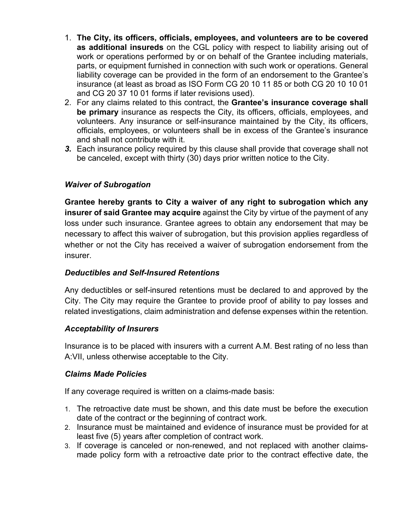- 1. **The City, its officers, officials, employees, and volunteers are to be covered as additional insureds** on the CGL policy with respect to liability arising out of work or operations performed by or on behalf of the Grantee including materials, parts, or equipment furnished in connection with such work or operations. General liability coverage can be provided in the form of an endorsement to the Grantee's insurance (at least as broad as ISO Form CG 20 10 11 85 or both CG 20 10 10 01 and CG 20 37 10 01 forms if later revisions used).
- 2. For any claims related to this contract, the **Grantee's insurance coverage shall be primary** insurance as respects the City, its officers, officials, employees, and volunteers. Any insurance or self-insurance maintained by the City, its officers, officials, employees, or volunteers shall be in excess of the Grantee's insurance and shall not contribute with it.
- *3.* Each insurance policy required by this clause shall provide that coverage shall not be canceled, except with thirty (30) days prior written notice to the City.

# *Waiver of Subrogation*

**Grantee hereby grants to City a waiver of any right to subrogation which any insurer of said Grantee may acquire** against the City by virtue of the payment of any loss under such insurance. Grantee agrees to obtain any endorsement that may be necessary to affect this waiver of subrogation, but this provision applies regardless of whether or not the City has received a waiver of subrogation endorsement from the insurer.

## *Deductibles and Self-Insured Retentions*

Any deductibles or self-insured retentions must be declared to and approved by the City. The City may require the Grantee to provide proof of ability to pay losses and related investigations, claim administration and defense expenses within the retention.

## *Acceptability of Insurers*

Insurance is to be placed with insurers with a current A.M. Best rating of no less than A:VII, unless otherwise acceptable to the City.

## *Claims Made Policies*

If any coverage required is written on a claims-made basis:

- 1. The retroactive date must be shown, and this date must be before the execution date of the contract or the beginning of contract work.
- 2. Insurance must be maintained and evidence of insurance must be provided for at least five (5) years after completion of contract work.
- 3. If coverage is canceled or non-renewed, and not replaced with another claimsmade policy form with a retroactive date prior to the contract effective date, the